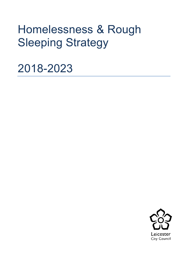# Homelessness & Rough Sleeping Strategy

2018-2023

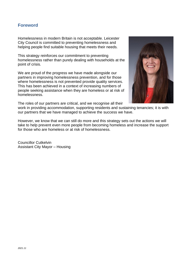## **Foreword**

Homelessness in modern Britain is not acceptable. Leicester City Council is committed to preventing homelessness and helping people find suitable housing that meets their needs.

This strategy reinforces our commitment to preventing homelessness rather than purely dealing with households at the point of crisis.

We are proud of the progress we have made alongside our partners in improving homelessness prevention, and for those where homelessness is not prevented provide quality services. This has been achieved in a context of increasing numbers of people seeking assistance when they are homeless or at risk of homelessness.

The roles of our partners are critical, and we recognise all their



work in providing accommodation, supporting residents and sustaining tenancies; it is with our partners that we have managed to achieve the success we have.

However, we know that we can still do more and this strategy sets out the actions we will take to help prevent even more people from becoming homeless and increase the support for those who are homeless or at risk of homelessness.

Councillor Cutkelvin Assistant City Mayor – Housing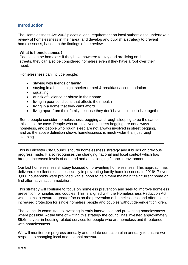## **Introduction**

The Homelessness Act 2002 places a legal requirement on local authorities to undertake a review of homelessness in their area, and develop and publish a strategy to prevent homelessness, based on the findings of the review.

#### **What is homelessness?**

People can be homeless if they have nowhere to stay and are living on the streets, they can also be considered homeless even if they have a roof over their head.

Homelessness can include people:

- staying with friends or family
- staying in a hostel, night shelter or bed & breakfast accommodation
- squatting
- at risk of violence or abuse in their home
- living in poor conditions that affects their health
- living in a home that they can't afford
- living apart from their family because they don't have a place to live together

Some people consider homelessness, begging and rough sleeping to be the same; this is not the case. People who are involved in street begging are not always homeless, and people who rough sleep are not always involved in street begging, and as the above definition shows homelessness is much wider than just rough sleeping.

This is Leicester City Council's fourth homelessness strategy and it builds on previous progress made. It also recognises the changing national and local context which has brought increased levels of demand and a challenging financial environment.

Our last homelessness strategy focused on preventing homelessness. This approach has delivered excellent results, especially in preventing family homelessness. In 2016/17 over 3,000 households were provided with support to help them maintain their current home or find alternative accommodation.

This strategy will continue to focus on homeless prevention and seek to improve homeless prevention for singles and couples. This is aligned with the Homelessness Reduction Act which aims to ensure a greater focus on the prevention of homelessness and offers some increased protection for single homeless people and couples without dependent children.

The council is committed to investing in early intervention and preventing homelessness where possible. At the time of writing this strategy the council has invested approximately £5.6m a year in housing-related services for people who are homeless and threatened with homelessness.

We will monitor our progress annually and update our action plan annually to ensure we respond to changing local and national pressures.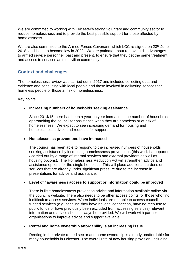We are committed to working with Leicester's strong voluntary and community sector to reduce homelessness and to provide the best possible support for those affected by homelessness.

We are also committed to the Armed Forces Covenant, which LCC re-signed on 23rd June 2018, and is set to become law in 2022. We are patinate about removing disadvantages to armed service personnel, past and present, to ensure that they get the same treatment and access to services as the civilian community.

## **Context and challenges**

The homelessness review was carried out in 2017 and included collecting data and evidence and consulting with local people and those involved in delivering services for homeless people or those at risk of homelessness.

Key points:

## • **Increasing numbers of households seeking assistance**

Since 2014/15 there has been a year on year increase in the number of households approaching the council for assistance when they are homeless or at risk of homelessness. We expect to see increasing demand for housing and homelessness advice and requests for support.

## • **Homelessness preventions have increased**

The council has been able to respond to the increased numbers of households seeking assistance by increasing homelessness preventions (this work is supported / carried out by a range of internal services and external providers as well as housing options). The Homelessness Reduction Act will strengthen advice and assistance options for the single homeless. This will place additional burdens on services that are already under significant pressure due to the increase in presentations for advice and assistance.

## • **Level of / awareness / access to support or information could be improved**

There is little homelessness prevention advice and information available online via the council's website. There also needs to be other access points for those who find it difficult to access services. When individuals are not able to access council funded services (e.g. because they have no local connection, have no recourse to public funds or have previously been excluded from accessing services) relevant information and advice should always be provided. We will work with partner organisations to improve advice and support available.

#### • **Rental and home ownership affordability is an increasing issue**

Renting in the private rented sector and home ownership is already unaffordable for many households in Leicester. The overall rate of new housing provision, including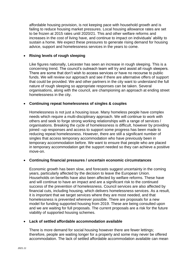affordable housing provision, is not keeping pace with household growth and is failing to reduce housing market pressures. Local housing allowance rates are set to be frozen at 2015 rates until 2020/21. This and other welfare reforms and increases in the cost of living have, and continue to impact on individuals' ability to sustain a home. We expect these pressures to generate rising demand for housing advice, support and homelessness services in the years to come.

#### • **Rising levels of rough sleeping**

Like figures nationally, Leicester has seen an increase in rough sleeping. This is a concerning trend. The council's outreach team will try and assist all rough sleepers. There are some that don't wish to access services or have no recourse to public funds. We will review our approach and see if there are alternative offers of support that could be provided. We and other partners in the city want to understand the full nature of rough sleeping so appropriate responses can be taken. Several organisations, along with the council, are championing an approach at ending street homelessness in the city.

#### • **Continuing repeat homelessness of singles & couples**

Homelessness is not just a housing issue. Many homeless people have complex needs which require a multi-disciplinary approach. We will continue to work with others and seek to forge strong working relationships with a range of services / organisations. Breaking the cycle of homelessness is difficult, however by providing joined –up responses and access to support some progress has been made to reducing repeat homelessness. However, there are still a significant number of singles that access temporary accommodation who have previously been in temporary accommodation before. We want to ensure that people who are placed in temporary accommodation get the support needed so they can achieve a positive move-on.

#### • **Continuing financial pressures / uncertain economic circumstances**

Economic growth has been slow, and forecasts suggest uncertainty in the coming years, particularly affected by the decision to leave the European Union. Households on benefits have also been affected by welfare reforms. These have and will continue to have an impact and are a significant risk to the continued success of the prevention of homelessness. Council services are also affected by financial cuts, including housing, which delivers homelessness services. As a result, it is important that we target services where they are most needed, and that homelessness is prevented wherever possible. There are proposals for a new model for funding supported housing from 2019. These are being consulted upon and we are waiting for full proposals. The current proposals are a risk for the future viability of supported housing schemes.

#### • **Lack of settled affordable accommodation available**

There is more demand for social housing however there are fewer lettings; therefore, people are waiting longer for a property and some may never be offered accommodation. The lack of settled affordable accommodation available can mean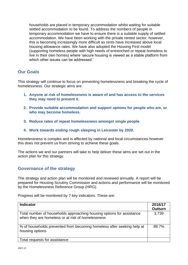households are placed in temporary accommodation whilst waiting for suitable settled accommodation to be found. To address the numbers of people in temporary accommodation we have to ensure there is a suitable supply of settled accommodation. We have been working with the private rented sector; however, this is becoming increasingly more difficult as rents have increased above local housing allowance rates. We have also adopted the Housing First model (supporting homeless people with high needs of entrenched or repeat homeless to live in their own homes) where 'secure housing is viewed as a stable platform from which other issues can be addressed.'

# **Our Goals**

This strategy will continue to focus on preventing homelessness and breaking the cycle of homelessness. Our strategic aims are:

- **1. Anyone at risk of homelessness is aware of and has access to the services they may need to prevent it.**
- **2. Provide suitable accommodation and support options for people who are, or who may become homeless.**
- **3. Reduce rates of repeat homelessness amongst single people.**
- **4. Work towards ending rough sleeping in Leicester by 2020.**

Homelessness is complex and is affected by national and local circumstances however this does not prevent us from striving to achieve these goals.

The actions we and our partners will take to help deliver these aims are set out in the action plan for this strategy.

## **Governance of the strategy**

The strategy and action plan will be monitored and reviewed annually. A report will be prepared for Housing Scrutiny Commission and actions and performance will be monitored by the Homelessness Reference Group (HRG).

Progress will be monitored by 7 key indicators. These are:

| <b>Indicator</b>                                                                                                           | 2016/17<br><b>Outturn</b> |
|----------------------------------------------------------------------------------------------------------------------------|---------------------------|
| Total number of households approaching housing options for assistance<br>when they are homeless or at risk of homelessness | 3,739                     |
| % of households prevented from becoming homeless after seeking help at<br>housing options                                  | 89.7%                     |
| Total requests for assistance:                                                                                             |                           |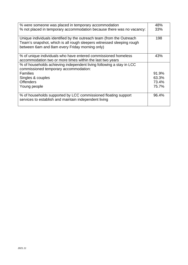| % were someone was placed in temporary accommodation                                                                                                                                             | 48%   |
|--------------------------------------------------------------------------------------------------------------------------------------------------------------------------------------------------|-------|
| % not placed in temporary accommodation because there was no vacancy:                                                                                                                            | 33%   |
| Unique individuals identified by the outreach team (from the Outreach<br>Team's snapshot, which is all rough sleepers witnessed sleeping rough<br>between 6am and 8am every Friday morning only) | 198   |
| % of unique individuals who have entered commissioned homeless<br>accommodation two or more times within the last two years                                                                      | 43%   |
| % of households achieving independent living following a stay in LCC<br>commissioned temporary accommodation:                                                                                    |       |
| <b>Families</b>                                                                                                                                                                                  | 91.9% |
| Singles & couples                                                                                                                                                                                | 63.3% |
| <b>Offenders</b>                                                                                                                                                                                 | 73.4% |
| Young people                                                                                                                                                                                     | 75.7% |
| % of households supported by LCC commissioned floating support<br>services to establish and maintain independent living                                                                          | 96.4% |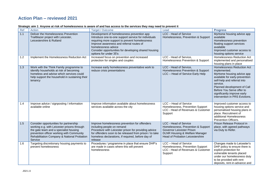# **Action Plan – reviewed 2021**

| Ref | Action                                                                                                                                                                                                                                 | <b>Target / Outcome</b>                                                                                                                                                                                                                                                                                   | Lead                                                                                                                                                                  | <b>Progress</b>                                                                                                                                                                                                                                                                          |
|-----|----------------------------------------------------------------------------------------------------------------------------------------------------------------------------------------------------------------------------------------|-----------------------------------------------------------------------------------------------------------------------------------------------------------------------------------------------------------------------------------------------------------------------------------------------------------|-----------------------------------------------------------------------------------------------------------------------------------------------------------------------|------------------------------------------------------------------------------------------------------------------------------------------------------------------------------------------------------------------------------------------------------------------------------------------|
| 1.1 | Deliver the Homelessness Prevention<br>Trailblazer project with Leicester,<br>Leicestershire & Rutland                                                                                                                                 | Development of homelessness prevention app<br>Introduce one-to-one support service for individuals<br>requiring more support to prevent homelessness<br>Improve awareness and referral routes of<br>homelessness advice<br>Consider opportunities for developing shared housing<br>options for under 35's | LCC - Head of Service<br>Homelessness, Prevention & Support                                                                                                           | MyHome housing advice app<br>available<br>Homelessness prevention<br>floating support services<br>available<br>Improved customer access to<br>housing options service                                                                                                                    |
| 1.2 | Implement the Homelessness Reduction Act                                                                                                                                                                                               | Increased focus on prevention and increased<br>protection for singles and couples                                                                                                                                                                                                                         | LCC - Head of Service,<br>Homelessness Prevention & Support                                                                                                           | Homelessness Reduction Act<br>implemented and personalised<br>housing plans in place                                                                                                                                                                                                     |
| 1.3 | Work with the Think Family programme to<br>identify households at risk of becoming<br>homeless and advise which services could<br>help support the household in sustaining their<br>tenancy                                            | Increase early homelessness preventative work to<br>reduce crisis presentations                                                                                                                                                                                                                           | LCC - Head of Service,<br>Homelessness Prevention & Support<br>LCC - Head of Service Early Help                                                                       | <b>Homelessness Reduction Act</b><br>implemented.<br>MyHome housing advice app<br>available for early-prevention<br>self-help and referral into<br>service.<br>Planned development of Call<br>Before You Serve offer to<br>significantly improve early<br>intervention in PRS Evictions. |
| 1.4 | Improve advice / signposting / information<br>available online                                                                                                                                                                         | Improve information available about homelessness<br>services available across the city                                                                                                                                                                                                                    | LCC - Head of Service<br>Homelessness, Prevention Support<br>LCC - Head of Revenues & Customer<br>Support                                                             | Improved customer access to<br>housing options service and<br>personalised housing plans in<br>place. Recruitment of<br>additional Homelessness<br>Prevention Officers.                                                                                                                  |
| 1.5 | Consider opportunities for partnership<br>working e.g. with Leicester prisons through<br>the gate team and a specialist housing<br>prevention officer working with Community<br>Rehabilitation Company & National Probation<br>Service | Improve homelessness prevention for offenders<br>including people on remand<br>Procedure with Leicester prison for providing advice<br>for offenders soon to be released from prison / to take<br>homeless declarations, if required, before day of<br>release                                            | LCC - Head of Service<br>Homelessness, Prevention & Support<br>Governor Leicester Prison<br>DLNR Housing & Welfare Manager<br><b>Head of Probation Leicestershire</b> | Prison Release Protocol in<br>place, with agreed pathways<br>via Duty to Refer.                                                                                                                                                                                                          |
| 1.6 | Targeting discretionary housing payments to<br>prevent homelessness                                                                                                                                                                    | Procedures / programme in place that ensure DHP's<br>are made in cases where this will prevent<br>homelessness                                                                                                                                                                                            | LCC - Head of Service<br>Homelessness, Prevention Support<br>LCC - Head of Revenues & Customer<br>Support                                                             | Changes made to Leicester's<br>DHP policy to ensure there is<br>explicit protection for<br>vulnerable tenants placed<br>under our homelessness duty<br>to be provided with rent<br>deposits, rent-in-advance and                                                                         |

#### **Strategic aim 1**: **Anyone at risk of homelessness is aware of and has access to the services they may need to prevent it**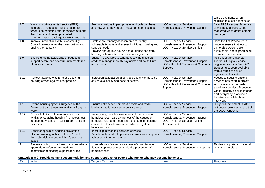|      |                                                                                                                                                                                                                     |                                                                                                                                                                                                                              |                                                                                                           | top-up payments where<br>required to sustain tenancies                                                                                                                                                                           |
|------|---------------------------------------------------------------------------------------------------------------------------------------------------------------------------------------------------------------------|------------------------------------------------------------------------------------------------------------------------------------------------------------------------------------------------------------------------------|-----------------------------------------------------------------------------------------------------------|----------------------------------------------------------------------------------------------------------------------------------------------------------------------------------------------------------------------------------|
| 1.7  | Work with private rented sector (PRS)<br>landlords to reduce barriers to letting to<br>tenants on benefits / offer tenancies of more<br>than 6mths and develop targeted<br>communications package for PRS landlords | Promote positive impact private landlords can have<br>and how what they do can impact on homelessness                                                                                                                        | LCC - Head of Service<br>Homelessness, Prevention Support                                                 | <b>New PRS Incentive Schemes</b><br>developed, launched, and<br>marketed via targeted comms<br>package.                                                                                                                          |
| 1.8  | Improve interactions with Leicester City<br>Council tenants when they are starting and<br>ending their tenancy                                                                                                      | Explore pre-tenancy assessments to identify<br>vulnerable tenants and assess individual housing and<br>support needs<br>Provide appropriate advice and guidance and early<br>housing options advice when tenants give notice | LCC - Head of Service<br>Homelessness, Prevention Support<br>LCC - Head of Service Districts              | Sensitive Let Procedure in<br>place to ensure that lets to<br>vulnerable persons are<br>sustainable, and support is put<br>in place where required.                                                                              |
| 1.9  | Ensure ongoing availability of budgeting<br>support before and after full implementation<br>of universal credit                                                                                                     | Support is available to tenants receiving universal<br>credit to manage monthly payments and not fall into<br>rent arrears                                                                                                   | LCC - Head of Service<br>Homelessness, Prevention Support<br>LCC - Head of Revenues & Customer<br>Support | Roll-out of the Universal<br><b>Credit Full Digital Service</b><br>began in Leicester June 2018.<br>Budgeting support available<br>from a range of advice<br>agencies in Leicester.                                              |
| 1.10 | Review triage service for those seeking<br>housing advice against best practice                                                                                                                                     | Increased satisfaction of services users with housing<br>advice availability and ease of access                                                                                                                              | LCC - Head of Service<br>Homelessness, Prevention Support<br>LCC - Head of Revenues & Customer<br>Support | Access to housing options<br>services has been improved.<br>All homeless households<br>speak to Homeless Prevention<br>Officer directly on presentation<br>and everybody is offered a<br>face-to-face or telephone<br>interview. |
| 1.11 | Extend housing options surgeries at the<br>Dawn centre so these are available 5 days a<br>week                                                                                                                      | Ensure entrenched homeless people and those<br>leading chaotic lives can access services                                                                                                                                     | LCC - Head of Service<br>Homelessness, Prevention Support                                                 | Surgeries implement in 2018<br>but under review as a result of<br>the 2020 Pandemic.                                                                                                                                             |
| 1.12 | Distribute links to classroom resources<br>available regarding housing / homelessness<br>to secondary schools / pupil referral units in<br>Leicester                                                                | Raise young people's awareness of the causes of<br>homelessness; raise awareness of the causes of<br>homelessness and recognise the circumstances that<br>can lead to homelessness and where to get help<br>before a crisis  | LCC - Head of Service<br>Homelessness, Prevention Support<br>LCC - Head of Service Raising<br>Achievement |                                                                                                                                                                                                                                  |
| 1.13 | Consider specialist housing prevention<br>officer/s working with social care & health,<br>domestic violence and children's services<br>cases                                                                        | Improve joint working between services<br>Benefits achieved with partnership work with hospitals<br>achieved with other services                                                                                             | LCC - Head of Service<br>Homelessness, Prevention Support                                                 |                                                                                                                                                                                                                                  |
| 1.14 | Review existing procedures to ensure, where<br>appropriate, referrals are made to<br>commissioned floating support services                                                                                         | More referrals / raised awareness of commissioned<br>floating support services to aid the prevention of<br>homelessness                                                                                                      | LCC - Head of Service<br>Homelessness, Prevention & Support                                               | Review complete and referral<br>processes in place.                                                                                                                                                                              |

#### **Strategic aim 2: Provide suitable accommodation and support options for people who are, or who may become homeless.**

| <b>Progress</b><br>Lear<br>ard<br><b>Ref</b><br><b>Action</b><br>Outcome |  |
|--------------------------------------------------------------------------|--|
|--------------------------------------------------------------------------|--|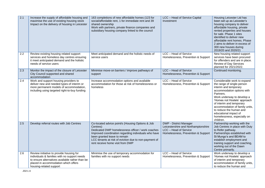| 2.1 | Increase the supply of affordable housing and<br>maximise the use of existing housing stock<br>Impact on the delivery of housing in Leicester                                                                  | 163 completions of new affordable homes (123 for<br>social/affordable rent, 1 for immediate rent and 39<br>shared ownership<br>Work with partners, private finance companies and<br>subsidiary housing company linked to the council                                                                   | LCC - Head of Service Capital<br>Investment                                                                                         | Housing Leicester Ltd has<br>been set up as Leicester's<br>housing company to deliver<br>affordable housing, private<br>rented properties and houses<br>for sale. Phase 1 sites<br>identified to deliver new<br>affordable rent homes. Phase<br>2 aims to deliver in excess of<br>300 new houses during<br>2019/20 and 2020/21                            |
|-----|----------------------------------------------------------------------------------------------------------------------------------------------------------------------------------------------------------------|--------------------------------------------------------------------------------------------------------------------------------------------------------------------------------------------------------------------------------------------------------------------------------------------------------|-------------------------------------------------------------------------------------------------------------------------------------|-----------------------------------------------------------------------------------------------------------------------------------------------------------------------------------------------------------------------------------------------------------------------------------------------------------------------------------------------------------|
| 2.2 | Review existing housing related support<br>services and homeless day centres ensuring<br>it meet anticipated demand and the holistic<br>needs of service users                                                 | Meet anticipated demand and the holistic needs of<br>service users                                                                                                                                                                                                                                     | LCC - Head of Service<br>Homelessness, Prevention & Support                                                                         | New housing related support<br>services have been procured<br>for offenders and are in place.<br>Review of Day Services<br>planned for 2021/2022.                                                                                                                                                                                                         |
| 2.3 | Monitor the impact of the closure of Leicester<br>City Council supported and shared<br>accommodation                                                                                                           | Minimise move-on barriers / improve pathways of<br>support                                                                                                                                                                                                                                             | LCC - Head of Service<br>Homelessness, Prevention & Support                                                                         | Continued monitoring.                                                                                                                                                                                                                                                                                                                                     |
| 2.4 | Work and support housing providers to<br>deliver new and needed types of interim or<br>more permanent models of accommodation,<br>including using targeted right-to-buy funding                                | Increase accommodation options and available<br>accommodation for those at risk of homelessness or<br>homeless                                                                                                                                                                                         | LCC - Head of Service<br>Homelessness, Prevention & Support                                                                         | Considerable work to expand<br>the range of single-person<br>interim and temporary<br>accommodation options with<br>Partners.<br>Work underway to develop a<br>'Homes not Hostels' approach<br>of interim and temporary<br>accommodation of family units,<br>to reduce the human and<br>educational impact of<br>homelessness, especially on<br>children. |
| 2.5 | Develop referral routes with Job Centres                                                                                                                                                                       | Co-located advice point/s (Housing Options & Job<br>Centres)<br>Dedicated DWP homelessness officer / work coaches<br>Improved coordination regarding individuals who have<br>been granted leave to remain<br>LCC tenants at risk of eviction due to non-payment of<br>rent receive home visit from DWP | <b>DWP - District Manager</b><br>Leicestershire and Northamptonshire<br>LCC - Head of Service<br>Homelessness, Prevention & Support | Partnership working with the<br>Job Centres in place with Duty<br>to Refer pathway.<br>Partnerships established with<br>St Mungo's and BEAM to<br>establish employment and<br>training support and coaching,<br>working out of the Dawn<br>Centre primarily.                                                                                              |
| 2.6 | Review initiative to provide housing for<br>individuals & families with no support needs<br>to ensure alternatives available rather than be<br>placed in accommodation which offers<br>housing-related support | Minimise the use of temporary accommodation for<br>families with no support needs                                                                                                                                                                                                                      | LCC - Head of Service<br>Homelessness, Prevention & Support                                                                         | Work underway to develop a<br>'Homes not Hostels' approach<br>of interim and temporary<br>accommodation of family units,<br>to reduce the human and                                                                                                                                                                                                       |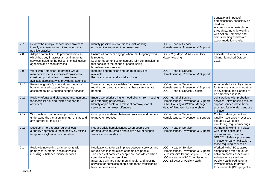|      |                                                                                                                                                                              |                                                                                                                                                                                                                                                                                                                               |                                                                                                                                                                          | educational impact of<br>homelessness, especially on<br>children.<br>Accommodation established<br>through partnership working<br>with Action Homeless and<br>others for singles who are<br>accommodation-ready. |
|------|------------------------------------------------------------------------------------------------------------------------------------------------------------------------------|-------------------------------------------------------------------------------------------------------------------------------------------------------------------------------------------------------------------------------------------------------------------------------------------------------------------------------|--------------------------------------------------------------------------------------------------------------------------------------------------------------------------|-----------------------------------------------------------------------------------------------------------------------------------------------------------------------------------------------------------------|
| 2.7  | Review the multiple service user project to<br>identify any lessons learnt and adopt any<br>positive practice                                                                | Identify possible interventions / joint working<br>opportunities to prevent homelessness                                                                                                                                                                                                                                      | LCC - Head of Service<br>Homelessness, Prevention & Support                                                                                                              |                                                                                                                                                                                                                 |
| 2.8  | Adopt a commitment to prevent homeless<br>which has buy-in across all local authority<br>services including the police, criminal justice<br>agencies and health services     | Ensure all partners engage where multi-agency work<br>is required<br>Look for opportunities to increase joint commissioning<br>that considers the needs of people using<br>homelessness services                                                                                                                              | LCC - City Mayor & Assistant City<br>Mayor Housing                                                                                                                       | Leicester's Homelessness<br><b>Charter launched October</b><br>2018.                                                                                                                                            |
| 2.9  | Work with Homeless Reference Group<br>members to identify 'activities' provided and<br>consider opportunities to make these<br>available across service providers / agencies | Increase opportunities and range of activities<br>available<br>Reduce isolation and social exclusion                                                                                                                                                                                                                          | LCC - Head of Service<br>Homelessness, Prevention & Support                                                                                                              |                                                                                                                                                                                                                 |
| 2.10 | Review eligibility / prioritisation criteria for<br>housing related support (temporary<br>accommodation & floating support services)                                         | To ensure they are available for those who most<br>require them, and at a time that these services are<br>needed                                                                                                                                                                                                              | LCC - Head of Service<br>Homelessness, Prevention & Support<br>LCC - Head of Service Districts                                                                           | An amended eligibility criteria<br>for temporary accommodation<br>is developed, and planned to<br>be embedded in 2022.                                                                                          |
| 2.11 | Review referral and placement arrangements<br>for specialist housing related support for<br>offenders                                                                        | Ensure we prioritise higher need clients (from housing<br>and offending perspective)<br>Identify appropriate and relevant pathways for all<br>services for homeless offenders                                                                                                                                                 | LCC - Head of Service<br>Homelessness, Prevention & Support<br><b>DLNR Housing &amp; Welfare Manager</b><br><b>Head of Probation Leicestershire</b>                      | Joint working with probation<br>services. New housing related<br>support services have been<br>procured for offenders and are<br>in place.                                                                      |
| 2.12 | Work with accommodation providers to<br>understand the variation in length of stay and<br>any barriers for move-on                                                           | Good practice shared between providers and barriers<br>to move-on reduced                                                                                                                                                                                                                                                     | LCC - Head of Service<br>Homelessness, Prevention & Support                                                                                                              | <b>Contract Management and</b><br><b>Quality Assurance Processes</b><br>set up via workbook<br>monitoring, regular meetings.                                                                                    |
| 2.13 | Develop a more robust regional local<br>authority approach to those positively exiting<br>temporary asylum accommodation                                                     | Reduce crisis homelessness when people are<br>granted leave to remain and leave asylum support<br>service accommodation                                                                                                                                                                                                       | LCC - Head of Service<br>Homelessness, Prevention & Support                                                                                                              | Partnership working in place<br>with Home Office and<br>commissioned provider<br>SERCO. Referral processes<br>in place for early notification of<br>those requiring services.a                                  |
| 2.14 | Review joint working arrangements with<br>primary care, mental health services,<br>including substance misuse services                                                       | Notifications / referrals in place between services and<br>reduce health inequalities of homeless people<br>The needs of homeless people are considered when<br>commissioning new services<br>Integrated primary care, mental health and housing<br>services for homeless people and those transitioning<br>from homelessness | LCC - Head of Service<br>Homelessness, Prevention & Support<br>Leicestershire Partnership NHS Trust<br>LCC - Head of ASC Commissioning<br>LCC- Director of Public Health | Worked with ASC to agree<br>signposting / referral routes<br>between homelessness and<br>substance use services<br>Public Health leading on a<br>Psychologically Informed<br>Environments (PIE) project to      |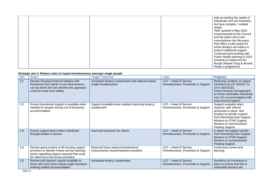|  |  | look at meeting the needs of   |
|--|--|--------------------------------|
|  |  | individuals who are homeless   |
|  |  | but have complex / multiple    |
|  |  | needs.                         |
|  |  | 'No5' opened in May 2018       |
|  |  | commissioned by the Council    |
|  |  | and the police and crime       |
|  |  | commissioner the Recovery      |
|  |  | Hub offers a safe space for    |
|  |  | street drinkers and others in  |
|  |  | need of additional support.    |
|  |  | Continued joint-working with   |
|  |  | Public Health planning in 2022 |
|  |  | onwards to implement the       |
|  |  | Rough Sleeper Drug & Alcohol   |
|  |  | Phase 2 programme.             |

#### **Strategic aim 3: Reduce rates of repeat homelessness amongst single people**

| Ref | onalogio anni ol ricuuoc ralos or repoal nomeicssiicss amongsi singic poopic<br>Action                                                                                                   | Target / Outcome                                                             | Lead                                                        | <b>Progress</b>                                                                                                                                                                                                        |
|-----|------------------------------------------------------------------------------------------------------------------------------------------------------------------------------------------|------------------------------------------------------------------------------|-------------------------------------------------------------|------------------------------------------------------------------------------------------------------------------------------------------------------------------------------------------------------------------------|
| 3.1 | Review Housing First/Led initiative with<br>Revolving Door clients to see what lessons<br>can be learnt and see whether this approach<br>could be used more widely                       | Increased tenancy sustainment and reduced repeat<br>single homelessness      | LCC - Head of Service<br>Homelessness, Prevention & Support | Reducing numbers on repeat<br>homeless list (31 2016/17 to<br>16 in 2020/2021.<br>Using Housing-Led approach<br>to house vulnerable individuals<br>into LCC accommodation with<br>wrap-around support.                 |
| 3.2 | Ensure transitional support is available when<br>needed for people moving out of temporary<br>accommodation                                                                              | Support available when needed improving tenancy<br>sustainment               | LCC - Head of Service<br>Homelessness, Prevention & Support | Support available when<br>required, with referral<br>processes in place, and<br>timeline to transfer support<br>from Revolving Door Support<br>Workers to STAR Support<br>Workers or commissioned<br>Floating Support. |
| 3.3 | Ensure support plans follow individuals<br>through breaks in service                                                                                                                     | Improved outcomes for clients                                                | LCC - Head of Service<br>Homelessness, Prevention & Support | In place via support transfer<br>from Revolving Door Support<br>Workers to STAR Support<br>Workers or commissioned<br>Floating Support.                                                                                |
| 3.4 | Review good practice of all housing support<br>providers to identify if there are key learning<br>points regarding support required that could<br>be rolled out to all service providers | Reduced future repeat homelessness<br>Good practice shared between providers | LCC - Head of Service<br>Homelessness, Prevention & Support | Continuous review and<br>learning.                                                                                                                                                                                     |
| 3.5 | Review and improve support available to<br>those who have been repeat single homeless<br>entering settled accommodation                                                                  | Increased tenancy sustainment                                                | LCC - Head of Service<br>Homelessness, Prevention & Support | Sensitive Let Procedure in<br>place to ensure that lets to<br>vulnerable persons are                                                                                                                                   |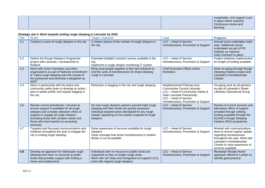|  |  | sustainable, and support is put |
|--|--|---------------------------------|
|  |  | in place where required.        |
|  |  | Continuous review and           |
|  |  | learning.                       |

#### **Strategic aim 4**: **Work towards ending rough sleeping in Leicester by 2020**

| <b>Ref</b> | Action                                                                                                                                                                                                                                                                     | Target / Outcome                                                                                                                                                                                                        | Lead                                                                                                                                                                                                | <b>Progress</b>                                                                                                                                                                                            |
|------------|----------------------------------------------------------------------------------------------------------------------------------------------------------------------------------------------------------------------------------------------------------------------------|-------------------------------------------------------------------------------------------------------------------------------------------------------------------------------------------------------------------------|-----------------------------------------------------------------------------------------------------------------------------------------------------------------------------------------------------|------------------------------------------------------------------------------------------------------------------------------------------------------------------------------------------------------------|
| 4.1        | Conduct a count of rough sleepers in the city                                                                                                                                                                                                                              | A clearer picture of the number of rough sleepers in<br>the city                                                                                                                                                        | LCC - Head of Service<br>Homelessness, Prevention & Support                                                                                                                                         | Annual count undertaken each<br>year. Additional counts<br>undertaken as part of RS<br>initiative as required.<br>Daily Outreach in place.                                                                 |
| 4.2        | Deliver the Rough Sleepers Programme<br>project with Leicester, Leicestershire &<br>Rutland                                                                                                                                                                                | Extended (twilight) outreach service available in the<br>city<br>Implement a rough sleeper monitoring IT system                                                                                                         | LCC - Head of Service<br>Homelessness, Prevention & Support                                                                                                                                         | Project initiatives implemented<br>for length of funding available.                                                                                                                                        |
| 4.3        | Work with Action Homeless and other<br>organisations as part of National commitment<br>to "halve rough sleeping over the course of<br>the parliament and eliminate it altogether by<br>2027                                                                                | Bring local people together to find new solutions to<br>end the cycle of homelessness for those sleeping<br>rough in Leicester                                                                                          | <b>Chief Executive Officer Action</b><br>Homeless                                                                                                                                                   | Work on-going through Rough<br>Sleeping Initiative project and<br>Leicester's Homelessness<br>Charter.                                                                                                     |
| 4.4        | Work in partnership with the police and<br>community safety team to develop an action<br>plan to tackle prolific and regular begging in<br>the city                                                                                                                        | Reduction in begging in the city and rough sleeping                                                                                                                                                                     | Neighbourhood Policing Area<br><b>Commander Central Leicester</b><br>LCC - Head of Community Safety &<br>Safer Leicester Partnership<br>LCC - Head of Service<br>Homelessness, Prevention & Support | On-going work by all partners<br>as part of Leicester's Street<br>Lifestyles Operational Group                                                                                                             |
| 4.6        | Review current procedures / services to<br>ensure support is available for all rough<br>sleepers and consider alterative offers of<br>support to engage all rough sleepers<br>(including those with complex needs and<br>those who have barriers to accessing<br>services) | No new rough sleepers spend a second night rough<br>sleeping and their needs are quickly assessed<br>Individual targeted plans developed for any rough<br>sleeper appearing on the weekly snapshot of rough<br>sleepers | LCC - Head of Service<br>Homelessness, Prevention & Support                                                                                                                                         | Review of current services and<br>alternative offers of support<br>provided through utilising<br>funding available through the<br><b>DLUHC's Rough Sleeping</b><br>Initiative (RSI) programme.             |
| 4.7        | Targeted and focussed communications and<br>initiatives throughout the year to engage the<br>city in ending rough sleeping                                                                                                                                                 | Raise awareness of services available for rough<br>sleepers<br>Clear message that street homelessness in modern<br>Britain is not acceptable                                                                            | LCC - Head of Service<br>Homelessness, Prevention & Support                                                                                                                                         | Worked with communications<br>team to ensure regular update<br>regarding homelessness<br>throughout the year. Work with<br>Leicester's Homelessness<br>Charter to raise awareness of<br>services available |
| 4.8        | Develop an approach for individuals rough<br>sleeping who have no recourse to public<br>funds that provides support with finding a<br>home and employment                                                                                                                  | Individuals with no recourse to public funds are<br>supported so they no longer rough sleep<br>Work with UK Visas and Immigration to support LCCs<br>work with migrant rough sleepers                                   | LCC - Head of Service<br>Homelessness, Prevention & Support                                                                                                                                         | Reviewed 'Routes Home'<br>approach offered in London to<br>identify good practice                                                                                                                          |